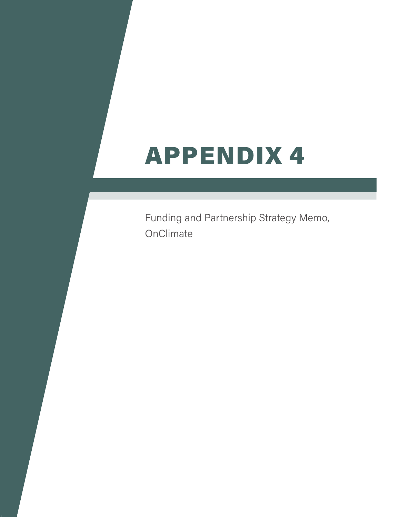# APPENDIX 4

Funding and Partnership Strategy Memo, **OnClimate**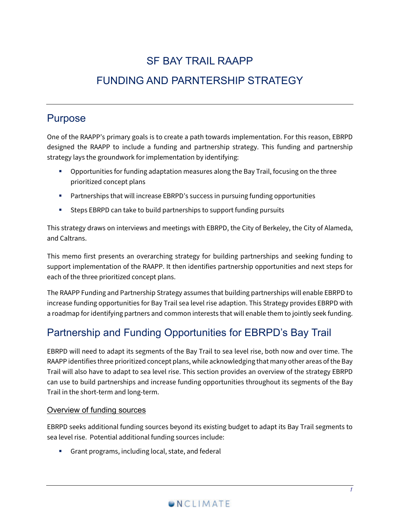# SF BAY TRAIL RAAPP

# FUNDING AND PARNTERSHIP STRATEGY

## Purpose

One of the RAAPP's primary goals is to create a path towards implementation. For this reason, EBRPD designed the RAAPP to include a funding and partnership strategy. This funding and partnership strategy lays the groundwork for implementation by identifying:

- **Deportunities for funding adaptation measures along the Bay Trail, focusing on the three** prioritized concept plans
- **Partnerships that will increase EBRPD's success in pursuing funding opportunities**
- Steps EBRPD can take to build partnerships to support funding pursuits

This strategy draws on interviews and meetings with EBRPD, the City of Berkeley, the City of Alameda, and Caltrans.

This memo first presents an overarching strategy for building partnerships and seeking funding to support implementation of the RAAPP. It then identifies partnership opportunities and next steps for each of the three prioritized concept plans.

The RAAPP Funding and Partnership Strategy assumes that building partnerships will enable EBRPD to increase funding opportunities for Bay Trail sea level rise adaption. This Strategy provides EBRPD with a roadmap for identifying partners and common interests that will enable them to jointly seek funding.

# Partnership and Funding Opportunities for EBRPD's Bay Trail

EBRPD will need to adapt its segments of the Bay Trail to sea level rise, both now and over time. The RAAPP identifies three prioritized concept plans, while acknowledging that many other areas of the Bay Trail will also have to adapt to sea level rise. This section provides an overview of the strategy EBRPD can use to build partnerships and increase funding opportunities throughout its segments of the Bay Trail in the short-term and long-term.

#### Overview of funding sources

EBRPD seeks additional funding sources beyond its existing budget to adapt its Bay Trail segments to sea level rise. Potential additional funding sources include:

Grant programs, including local, state, and federal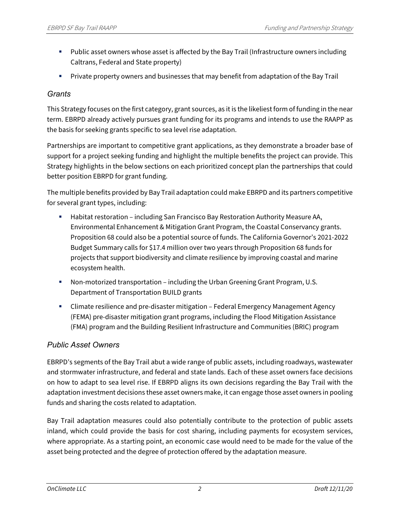- Public asset owners whose asset is affected by the Bay Trail (Infrastructure owners including Caltrans, Federal and State property)
- Private property owners and businesses that may benefit from adaptation of the Bay Trail

#### *Grants*

This Strategy focuses on the first category, grant sources, as it is the likeliest form of funding in the near term. EBRPD already actively pursues grant funding for its programs and intends to use the RAAPP as the basis for seeking grants specific to sea level rise adaptation.

Partnerships are important to competitive grant applications, as they demonstrate a broader base of support for a project seeking funding and highlight the multiple benefits the project can provide. This Strategy highlights in the below sections on each prioritized concept plan the partnerships that could better position EBRPD for grant funding.

The multiple benefits provided by Bay Trail adaptation could make EBRPD and its partners competitive for several grant types, including:

- Habitat restoration including San Francisco Bay Restoration Authority Measure AA, Environmental Enhancement & Mitigation Grant Program, the Coastal Conservancy grants. Proposition 68 could also be a potential source of funds. The California Governor's 2021-2022 Budget Summary calls for \$17.4 million over two years through Proposition 68 funds for projects that support biodiversity and climate resilience by improving coastal and marine ecosystem health.
- Non-motorized transportation including the Urban Greening Grant Program, U.S. Department of Transportation BUILD grants
- Climate resilience and pre-disaster mitigation Federal Emergency Management Agency (FEMA) pre-disaster mitigation grant programs, including the Flood Mitigation Assistance (FMA) program and the Building Resilient Infrastructure and Communities (BRIC) program

## *Public Asset Owners*

EBRPD's segments of the Bay Trail abut a wide range of public assets, including roadways, wastewater and stormwater infrastructure, and federal and state lands. Each of these asset owners face decisions on how to adapt to sea level rise. If EBRPD aligns its own decisions regarding the Bay Trail with the adaptation investment decisions these asset owners make, it can engage those asset owners in pooling funds and sharing the costs related to adaptation.

Bay Trail adaptation measures could also potentially contribute to the protection of public assets inland, which could provide the basis for cost sharing, including payments for ecosystem services, where appropriate. As a starting point, an economic case would need to be made for the value of the asset being protected and the degree of protection offered by the adaptation measure.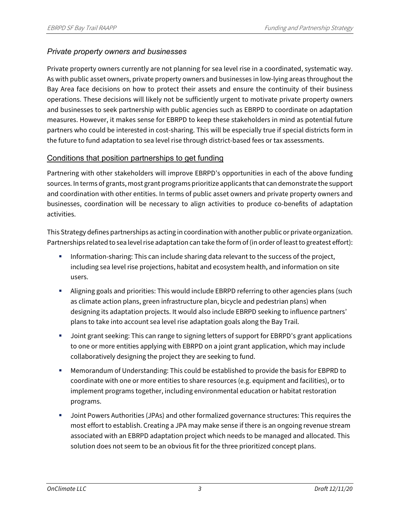#### *Private property owners and businesses*

Private property owners currently are not planning for sea level rise in a coordinated, systematic way. As with public asset owners, private property owners and businesses in low-lying areas throughout the Bay Area face decisions on how to protect their assets and ensure the continuity of their business operations. These decisions will likely not be sufficiently urgent to motivate private property owners and businesses to seek partnership with public agencies such as EBRPD to coordinate on adaptation measures. However, it makes sense for EBRPD to keep these stakeholders in mind as potential future partners who could be interested in cost-sharing. This will be especially true if special districts form in the future to fund adaptation to sea level rise through district-based fees or tax assessments.

#### Conditions that position partnerships to get funding

Partnering with other stakeholders will improve EBRPD's opportunities in each of the above funding sources. In terms of grants, most grant programs prioritize applicants that can demonstrate the support and coordination with other entities. In terms of public asset owners and private property owners and businesses, coordination will be necessary to align activities to produce co-benefits of adaptation activities.

This Strategy defines partnerships as acting in coordination with another public or private organization. Partnerships related to sea level rise adaptation can take the form of (in order of least to greatest effort):

- Information-sharing: This can include sharing data relevant to the success of the project, including sea level rise projections, habitat and ecosystem health, and information on site users.
- Aligning goals and priorities: This would include EBRPD referring to other agencies plans (such as climate action plans, green infrastructure plan, bicycle and pedestrian plans) when designing its adaptation projects. It would also include EBRPD seeking to influence partners' plans to take into account sea level rise adaptation goals along the Bay Trail.
- Joint grant seeking: This can range to signing letters of support for EBRPD's grant applications to one or more entities applying with EBRPD on a joint grant application, which may include collaboratively designing the project they are seeking to fund.
- Memorandum of Understanding: This could be established to provide the basis for EBPRD to coordinate with one or more entities to share resources (e.g. equipment and facilities), or to implement programs together, including environmental education or habitat restoration programs.
- Joint Powers Authorities (JPAs) and other formalized governance structures: This requires the most effort to establish. Creating a JPA may make sense if there is an ongoing revenue stream associated with an EBRPD adaptation project which needs to be managed and allocated. This solution does not seem to be an obvious fit for the three prioritized concept plans.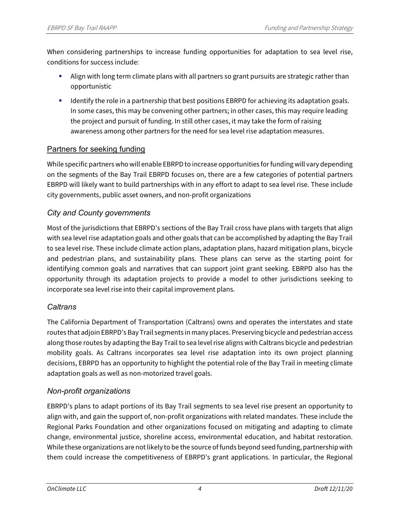When considering partnerships to increase funding opportunities for adaptation to sea level rise, conditions for success include:

- Align with long term climate plans with all partners so grant pursuits are strategic rather than opportunistic
- **IDENTIFY 19** Identify the role in a partnership that best positions EBRPD for achieving its adaptation goals. In some cases, this may be convening other partners; in other cases, this may require leading the project and pursuit of funding. In still other cases, it may take the form of raising awareness among other partners for the need for sea level rise adaptation measures.

## Partners for seeking funding

While specific partners who will enable EBRPD to increase opportunities for funding will vary depending on the segments of the Bay Trail EBRPD focuses on, there are a few categories of potential partners EBRPD will likely want to build partnerships with in any effort to adapt to sea level rise. These include city governments, public asset owners, and non-profit organizations

## *City and County governments*

Most of the jurisdictions that EBRPD's sections of the Bay Trail cross have plans with targets that align with sea level rise adaptation goals and other goals that can be accomplished by adapting the Bay Trail to sea level rise. These include climate action plans, adaptation plans, hazard mitigation plans, bicycle and pedestrian plans, and sustainability plans. These plans can serve as the starting point for identifying common goals and narratives that can support joint grant seeking. EBRPD also has the opportunity through its adaptation projects to provide a model to other jurisdictions seeking to incorporate sea level rise into their capital improvement plans.

## *Caltrans*

The California Department of Transportation (Caltrans) owns and operates the interstates and state routes that adjoin EBRPD's Bay Trail segments in many places. Preserving bicycle and pedestrian access along those routes by adapting the Bay Trail to sea level rise aligns with Caltrans bicycle and pedestrian mobility goals. As Caltrans incorporates sea level rise adaptation into its own project planning decisions, EBRPD has an opportunity to highlight the potential role of the Bay Trail in meeting climate adaptation goals as well as non-motorized travel goals.

## *Non-profit organizations*

EBRPD's plans to adapt portions of its Bay Trail segments to sea level rise present an opportunity to align with, and gain the support of, non-profit organizations with related mandates. These include the Regional Parks Foundation and other organizations focused on mitigating and adapting to climate change, environmental justice, shoreline access, environmental education, and habitat restoration. While these organizations are not likely to be the source of funds beyond seed funding, partnership with them could increase the competitiveness of EBRPD's grant applications. In particular, the Regional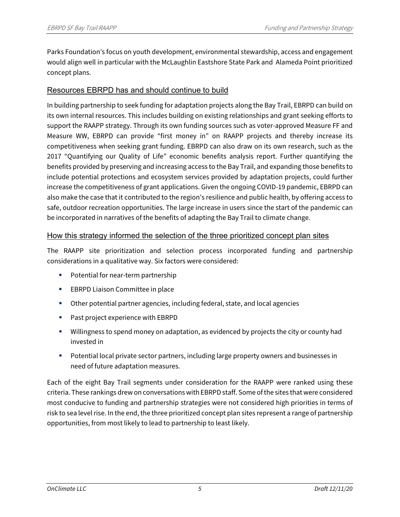Parks Foundation's focus on youth development, environmental stewardship, access and engagement would align well in particular with the McLaughlin Eastshore State Park and Alameda Point prioritized concept plans.

#### Resources EBRPD has and should continue to build

In building partnership to seek funding for adaptation projects along the Bay Trail, EBRPD can build on its own internal resources. This includes building on existing relationships and grant seeking efforts to support the RAAPP strategy. Through its own funding sources such as voter-approved Measure FF and Measure WW, EBRPD can provide "first money in" on RAAPP projects and thereby increase its competitiveness when seeking grant funding. EBRPD can also draw on its own research, such as the 2017 "Quantifying our Quality of Life" economic benefits analysis report. Further quantifying the benefits provided by preserving and increasing access to the Bay Trail, and expanding those benefits to include potential protections and ecosystem services provided by adaptation projects, could further increase the competitiveness of grant applications. Given the ongoing COVID-19 pandemic, EBRPD can also make the case that it contributed to the region's resilience and public health, by offering access to safe, outdoor recreation opportunities. The large increase in users since the start of the pandemic can be incorporated in narratives of the benefits of adapting the Bay Trail to climate change.

#### How this strategy informed the selection of the three prioritized concept plan sites

The RAAPP site prioritization and selection process incorporated funding and partnership considerations in a qualitative way. Six factors were considered:

- Potential for near-term partnership
- **EBRPD Liaison Committee in place**
- Other potential partner agencies, including federal, state, and local agencies
- Past project experience with EBRPD
- Willingness to spend money on adaptation, as evidenced by projects the city or county had invested in
- Potential local private sector partners, including large property owners and businesses in need of future adaptation measures.

Each of the eight Bay Trail segments under consideration for the RAAPP were ranked using these criteria. These rankings drew on conversations with EBRPD staff. Some of the sites that were considered most conducive to funding and partnership strategies were not considered high priorities in terms of risk to sea level rise. In the end, the three prioritized concept plan sites represent a range of partnership opportunities, from most likely to lead to partnership to least likely.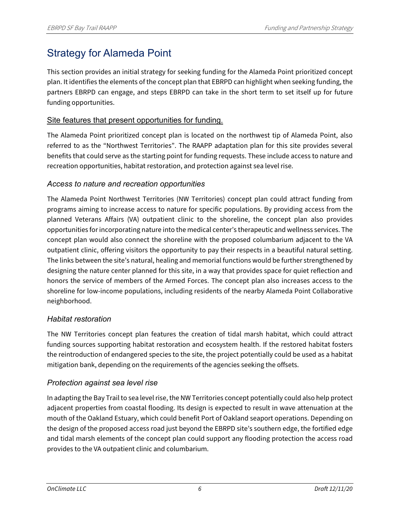# Strategy for Alameda Point

This section provides an initial strategy for seeking funding for the Alameda Point prioritized concept plan. It identifies the elements of the concept plan that EBRPD can highlight when seeking funding, the partners EBRPD can engage, and steps EBRPD can take in the short term to set itself up for future funding opportunities.

## Site features that present opportunities for funding.

The Alameda Point prioritized concept plan is located on the northwest tip of Alameda Point, also referred to as the "Northwest Territories". The RAAPP adaptation plan for this site provides several benefits that could serve as the starting point for funding requests. These include access to nature and recreation opportunities, habitat restoration, and protection against sea level rise.

#### *Access to nature and recreation opportunities*

The Alameda Point Northwest Territories (NW Territories) concept plan could attract funding from programs aiming to increase access to nature for specific populations. By providing access from the planned Veterans Affairs (VA) outpatient clinic to the shoreline, the concept plan also provides opportunities for incorporating nature into the medical center's therapeutic and wellness services. The concept plan would also connect the shoreline with the proposed columbarium adjacent to the VA outpatient clinic, offering visitors the opportunity to pay their respects in a beautiful natural setting. The links between the site's natural, healing and memorial functions would be further strengthened by designing the nature center planned for this site, in a way that provides space for quiet reflection and honors the service of members of the Armed Forces. The concept plan also increases access to the shoreline for low-income populations, including residents of the nearby Alameda Point Collaborative neighborhood.

## *Habitat restoration*

The NW Territories concept plan features the creation of tidal marsh habitat, which could attract funding sources supporting habitat restoration and ecosystem health. If the restored habitat fosters the reintroduction of endangered species to the site, the project potentially could be used as a habitat mitigation bank, depending on the requirements of the agencies seeking the offsets.

## *Protection against sea level rise*

In adapting the Bay Trail to sea level rise, the NW Territories concept potentially could also help protect adjacent properties from coastal flooding. Its design is expected to result in wave attenuation at the mouth of the Oakland Estuary, which could benefit Port of Oakland seaport operations. Depending on the design of the proposed access road just beyond the EBRPD site's southern edge, the fortified edge and tidal marsh elements of the concept plan could support any flooding protection the access road provides to the VA outpatient clinic and columbarium.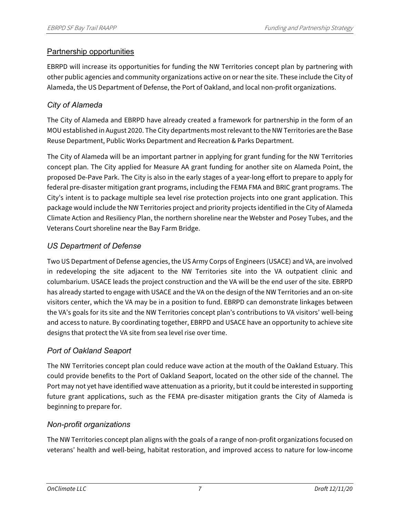## Partnership opportunities

EBRPD will increase its opportunities for funding the NW Territories concept plan by partnering with other public agencies and community organizations active on or near the site. These include the City of Alameda, the US Department of Defense, the Port of Oakland, and local non-profit organizations.

## *City of Alameda*

The City of Alameda and EBRPD have already created a framework for partnership in the form of an MOU established in August 2020. The City departments most relevant to the NW Territories are the Base Reuse Department, Public Works Department and Recreation & Parks Department.

The City of Alameda will be an important partner in applying for grant funding for the NW Territories concept plan. The City applied for Measure AA grant funding for another site on Alameda Point, the proposed De-Pave Park. The City is also in the early stages of a year-long effort to prepare to apply for federal pre-disaster mitigation grant programs, including the FEMA FMA and BRIC grant programs. The City's intent is to package multiple sea level rise protection projects into one grant application. This package would include the NW Territories project and priority projects identified in the City of Alameda Climate Action and Resiliency Plan, the northern shoreline near the Webster and Posey Tubes, and the Veterans Court shoreline near the Bay Farm Bridge.

## *US Department of Defense*

Two US Department of Defense agencies, the US Army Corps of Engineers (USACE) and VA, are involved in redeveloping the site adjacent to the NW Territories site into the VA outpatient clinic and columbarium. USACE leads the project construction and the VA will be the end user of the site. EBRPD has already started to engage with USACE and the VA on the design of the NW Territories and an on-site visitors center, which the VA may be in a position to fund. EBRPD can demonstrate linkages between the VA's goals for its site and the NW Territories concept plan's contributions to VA visitors' well-being and access to nature. By coordinating together, EBRPD and USACE have an opportunity to achieve site designs that protect the VA site from sea level rise over time.

## *Port of Oakland Seaport*

The NW Territories concept plan could reduce wave action at the mouth of the Oakland Estuary. This could provide benefits to the Port of Oakland Seaport, located on the other side of the channel. The Port may not yet have identified wave attenuation as a priority, but it could be interested in supporting future grant applications, such as the FEMA pre-disaster mitigation grants the City of Alameda is beginning to prepare for.

## *Non-profit organizations*

The NW Territories concept plan aligns with the goals of a range of non-profit organizations focused on veterans' health and well-being, habitat restoration, and improved access to nature for low-income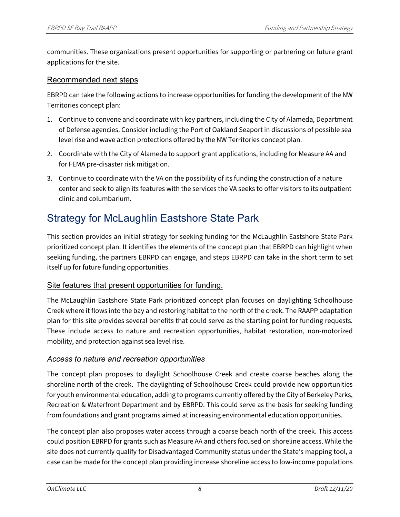communities. These organizations present opportunities for supporting or partnering on future grant applications for the site.

#### Recommended next steps

EBRPD can take the following actions to increase opportunities for funding the development of the NW Territories concept plan:

- 1. Continue to convene and coordinate with key partners, including the City of Alameda, Department of Defense agencies. Consider including the Port of Oakland Seaport in discussions of possible sea level rise and wave action protections offered by the NW Territories concept plan.
- 2. Coordinate with the City of Alameda to support grant applications, including for Measure AA and for FEMA pre-disaster risk mitigation.
- 3. Continue to coordinate with the VA on the possibility of its funding the construction of a nature center and seek to align its features with the services the VA seeks to offer visitors to its outpatient clinic and columbarium.

# Strategy for McLaughlin Eastshore State Park

This section provides an initial strategy for seeking funding for the McLaughlin Eastshore State Park prioritized concept plan. It identifies the elements of the concept plan that EBRPD can highlight when seeking funding, the partners EBRPD can engage, and steps EBRPD can take in the short term to set itself up for future funding opportunities.

#### Site features that present opportunities for funding.

The McLaughlin Eastshore State Park prioritized concept plan focuses on daylighting Schoolhouse Creek where it flows into the bay and restoring habitat to the north of the creek. The RAAPP adaptation plan for this site provides several benefits that could serve as the starting point for funding requests. These include access to nature and recreation opportunities, habitat restoration, non-motorized mobility, and protection against sea level rise.

## *Access to nature and recreation opportunities*

The concept plan proposes to daylight Schoolhouse Creek and create coarse beaches along the shoreline north of the creek. The daylighting of Schoolhouse Creek could provide new opportunities for youth environmental education, adding to programs currently offered by the City of Berkeley Parks, Recreation & Waterfront Department and by EBRPD. This could serve as the basis for seeking funding from foundations and grant programs aimed at increasing environmental education opportunities.

The concept plan also proposes water access through a coarse beach north of the creek. This access could position EBRPD for grants such as Measure AA and others focused on shoreline access. While the site does not currently qualify for Disadvantaged Community status under the State's mapping tool, a case can be made for the concept plan providing increase shoreline access to low-income populations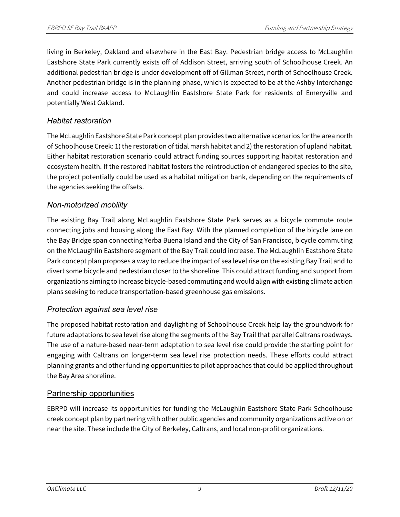living in Berkeley, Oakland and elsewhere in the East Bay. Pedestrian bridge access to McLaughlin Eastshore State Park currently exists off of Addison Street, arriving south of Schoolhouse Creek. An additional pedestrian bridge is under development off of Gillman Street, north of Schoolhouse Creek. Another pedestrian bridge is in the planning phase, which is expected to be at the Ashby Interchange and could increase access to McLaughlin Eastshore State Park for residents of Emeryville and potentially West Oakland.

## *Habitat restoration*

The McLaughlin Eastshore State Park concept plan provides two alternative scenarios for the area north of Schoolhouse Creek: 1) the restoration of tidal marsh habitat and 2) the restoration of upland habitat. Either habitat restoration scenario could attract funding sources supporting habitat restoration and ecosystem health. If the restored habitat fosters the reintroduction of endangered species to the site, the project potentially could be used as a habitat mitigation bank, depending on the requirements of the agencies seeking the offsets.

## *Non-motorized mobility*

The existing Bay Trail along McLaughlin Eastshore State Park serves as a bicycle commute route connecting jobs and housing along the East Bay. With the planned completion of the bicycle lane on the Bay Bridge span connecting Yerba Buena Island and the City of San Francisco, bicycle commuting on the McLaughlin Eastshore segment of the Bay Trail could increase. The McLaughlin Eastshore State Park concept plan proposes a way to reduce the impact of sea level rise on the existing Bay Trail and to divert some bicycle and pedestrian closer to the shoreline. This could attract funding and support from organizations aiming to increase bicycle-based commuting and would align with existing climate action plans seeking to reduce transportation-based greenhouse gas emissions.

## *Protection against sea level rise*

The proposed habitat restoration and daylighting of Schoolhouse Creek help lay the groundwork for future adaptations to sea level rise along the segments of the Bay Trail that parallel Caltrans roadways. The use of a nature-based near-term adaptation to sea level rise could provide the starting point for engaging with Caltrans on longer-term sea level rise protection needs. These efforts could attract planning grants and other funding opportunities to pilot approaches that could be applied throughout the Bay Area shoreline.

## Partnership opportunities

EBRPD will increase its opportunities for funding the McLaughlin Eastshore State Park Schoolhouse creek concept plan by partnering with other public agencies and community organizations active on or near the site. These include the City of Berkeley, Caltrans, and local non-profit organizations.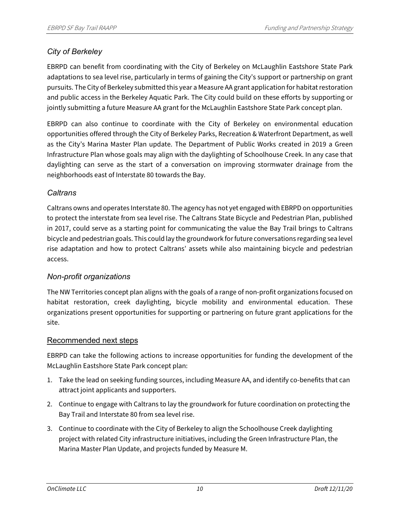## *City of Berkeley*

EBRPD can benefit from coordinating with the City of Berkeley on McLaughlin Eastshore State Park adaptations to sea level rise, particularly in terms of gaining the City's support or partnership on grant pursuits. The City of Berkeley submitted this year a Measure AA grant application for habitat restoration and public access in the Berkeley Aquatic Park. The City could build on these efforts by supporting or jointly submitting a future Measure AA grant for the McLaughlin Eastshore State Park concept plan.

EBRPD can also continue to coordinate with the City of Berkeley on environmental education opportunities offered through the City of Berkeley Parks, Recreation & Waterfront Department, as well as the City's Marina Master Plan update. The Department of Public Works created in 2019 a Green Infrastructure Plan whose goals may align with the daylighting of Schoolhouse Creek. In any case that daylighting can serve as the start of a conversation on improving stormwater drainage from the neighborhoods east of Interstate 80 towards the Bay.

## *Caltrans*

Caltrans owns and operates Interstate 80. The agency has not yet engaged with EBRPD on opportunities to protect the interstate from sea level rise. The Caltrans State Bicycle and Pedestrian Plan, published in 2017, could serve as a starting point for communicating the value the Bay Trail brings to Caltrans bicycle and pedestrian goals. This could lay the groundwork for future conversations regarding sea level rise adaptation and how to protect Caltrans' assets while also maintaining bicycle and pedestrian access.

## *Non-profit organizations*

The NW Territories concept plan aligns with the goals of a range of non-profit organizations focused on habitat restoration, creek daylighting, bicycle mobility and environmental education. These organizations present opportunities for supporting or partnering on future grant applications for the site.

#### Recommended next steps

EBRPD can take the following actions to increase opportunities for funding the development of the McLaughlin Eastshore State Park concept plan:

- 1. Take the lead on seeking funding sources, including Measure AA, and identify co-benefits that can attract joint applicants and supporters.
- 2. Continue to engage with Caltrans to lay the groundwork for future coordination on protecting the Bay Trail and Interstate 80 from sea level rise.
- 3. Continue to coordinate with the City of Berkeley to align the Schoolhouse Creek daylighting project with related City infrastructure initiatives, including the Green Infrastructure Plan, the Marina Master Plan Update, and projects funded by Measure M.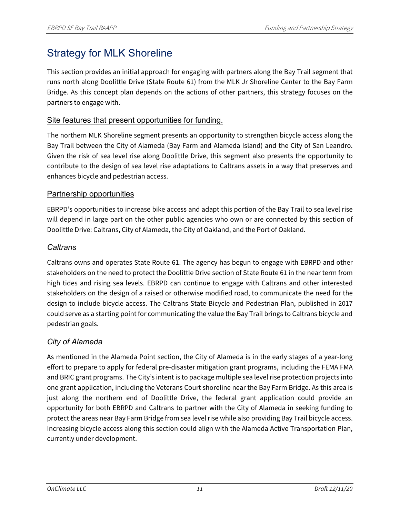# Strategy for MLK Shoreline

This section provides an initial approach for engaging with partners along the Bay Trail segment that runs north along Doolittle Drive (State Route 61) from the MLK Jr Shoreline Center to the Bay Farm Bridge. As this concept plan depends on the actions of other partners, this strategy focuses on the partners to engage with.

#### Site features that present opportunities for funding.

The northern MLK Shoreline segment presents an opportunity to strengthen bicycle access along the Bay Trail between the City of Alameda (Bay Farm and Alameda Island) and the City of San Leandro. Given the risk of sea level rise along Doolittle Drive, this segment also presents the opportunity to contribute to the design of sea level rise adaptations to Caltrans assets in a way that preserves and enhances bicycle and pedestrian access.

#### Partnership opportunities

EBRPD's opportunities to increase bike access and adapt this portion of the Bay Trail to sea level rise will depend in large part on the other public agencies who own or are connected by this section of Doolittle Drive: Caltrans, City of Alameda, the City of Oakland, and the Port of Oakland.

## *Caltrans*

Caltrans owns and operates State Route 61. The agency has begun to engage with EBRPD and other stakeholders on the need to protect the Doolittle Drive section of State Route 61 in the near term from high tides and rising sea levels. EBRPD can continue to engage with Caltrans and other interested stakeholders on the design of a raised or otherwise modified road, to communicate the need for the design to include bicycle access. The Caltrans State Bicycle and Pedestrian Plan, published in 2017 could serve as a starting point for communicating the value the Bay Trail brings to Caltrans bicycle and pedestrian goals.

## *City of Alameda*

As mentioned in the Alameda Point section, the City of Alameda is in the early stages of a year-long effort to prepare to apply for federal pre-disaster mitigation grant programs, including the FEMA FMA and BRIC grant programs. The City's intent is to package multiple sea level rise protection projects into one grant application, including the Veterans Court shoreline near the Bay Farm Bridge. As this area is just along the northern end of Doolittle Drive, the federal grant application could provide an opportunity for both EBRPD and Caltrans to partner with the City of Alameda in seeking funding to protect the areas near Bay Farm Bridge from sea level rise while also providing Bay Trail bicycle access. Increasing bicycle access along this section could align with the Alameda Active Transportation Plan, currently under development.